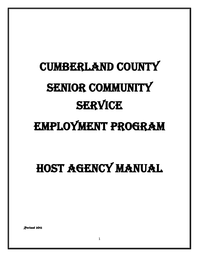# Cumberland County SENIOR COMMUNITY **SERVICE**

# Employment Program

# HOST AGENCY MANUAL

*Revised 2012*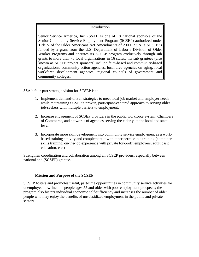#### Introduction

Senior Service America, Inc. (SSAI) is one of 18 national sponsors of the Senior Community Service Employment Program (SCSEP) authorized under Title V of the Older Americans Act Amendments of 2000. SSAI's SCSEP is funded by a grant from the U.S. Department of Labor's Division of Older Worker Programs and operates its SCSEP program exclusively through sub grants to more than 75 local organizations in 16 states. Its sub grantees (also known as SCSEP project sponsors) include faith-based and community-based organizations, community action agencies, local area agencies on aging, local workforce development agencies, regional councils of government and community colleges.

SSA's four-part strategic vision for SCSEP is to:

- 1. Implement demand-driven strategies to meet local job market and employer needs while maintaining SCSEP's proven, participant-centered approach to serving older job-seekers with multiple barriers to employment.
- 2. Increase engagement of SCSEP providers in the public workforce system, Chambers of Commerce, and networks of agencies serving the elderly, at the local and state level.
- 3. Incorporate more skill development into community service employment as a workbased training activity and complement it with other permissible training (computer skills training, on-the-job experience with private for-profit employers, adult basic education, etc.)

Strengthen coordination and collaboration among all SCSEP providers, especially between national and (SCSEP) grantee.

#### **Mission and Purpose of the SCSEP**

SCSEP fosters and promotes useful, part-time opportunities in community service activities for unemployed, low-income people ages 55 and older with poor employment prospects; the program also fosters individual economic self-sufficiency and increases the number of older people who may enjoy the benefits of unsubsidized employment in the public and private sectors.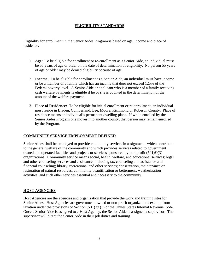# **ELIGIBILITY STANDARDS**

Eligibility for enrollment in the Senior Aides Program is based on age, income and place of residence.

- 1. **Age:** To be eligible for enrollment or re-enrollment as a Senior Aide, an individual must be 55 years of age or older on the date of determination of eligibility. No person 55 years of age or older may be denied eligibility because of age.
- 2. **Income:** To be eligible for enrollment as a Senior Aide, an individual must have income or be a member of a family which has an income that does not exceed 125% of the Federal poverty level. A Senior Aide or applicant who is a member of a family receiving cash welfare payments is eligible if he or she is counted in the determination of the amount of the welfare payment.
- 3. **Place of Residence:** To be eligible for initial enrollment or re-enrollment, an individual must reside in Bladen, Cumberland, Lee, Moore, Richmond or Robeson County. Place of residence means an individual's permanent dwelling place. If while enrolled by the Senior Aides Program one moves into another county, that person may remain enrolled by the Program.

# **COMMUNITY SERVICE EMPLOYMENT DEFINED**

Senior Aides shall be employed to provide community services in assignments which contribute to the general welfare of the community and which provides services related to government owned and operated facilities and projects or services sponsored by non-profit (501)©(3) organizations. Community service means social, health, welfare, and educational services; legal and other counseling services and assistance, including tax counseling and assistance and financial counseling; library, recreational and other services; conservation, maintenance or restoration of natural resources; community beautification or betterment; weatherization activities, and such other services essential and necessary to the community.

# **HOST AGENCIES**

Host Agencies are the agencies and organization that provide the work and training sites for Senior Aides. Host Agencies are government owned or non-profit organizations exempt from taxation under the provisions of Section (501) © (3) of the Unites States Internal Revenue Code. Once a Senior Aide is assigned to a Host Agency, the Senior Aide is assigned a supervisor. The supervisor will direct the Senior Aide in their job duties and training.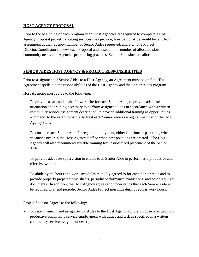# **HOST AGENCY PROPOSAL**

Prior to the beginning of each program year, Host Agencies are required to complete a Host Agency Proposal packet indicating services they provide, how Senior Aide would benefit from assignment at their agency, number of Senior Aides requested, and etc. The Project Director/Coordinator reviews each Proposal and based on the number of allocated slots, community needs and Agencies prior hiring practices, Senior Aide slots are allocated.

# **SENIOR AIDES HOST AGENCY & PROJECT RESPONSIBILITIES**

Prior to assignment of Senior Aides to a Host Agency, an Agreement must be on file. This Agreement spells out the responsibilities of the Host Agency and the Senior Aides Program.

Host Agencies must agree to the following:

- To provide a safe and healthful work site for each Senior Aide, to provide adequate orientation and training necessary to perform assigned duties in accordance with a written community service assignment description, to provide additional training as opportunities occur and, to the extent possible, to treat each Senior Aide as a regular member of the Host Agency staff:
- To consider each Senior Aide for regular employment, either full-time or part-time, when vacancies occur in the Host Agency staff or when new positions are created. The Host Agency will also recommend suitable training for unsubsidized placement of the Senior Aide:
- To provide adequate supervision to enable each Senior Aide to perform as a productive and effective worker:
- To abide by the hours and work schedules mutually agreed to for each Senior Aide and to provide properly prepared time sheets, periodic performance evaluations, and other required documents. In addition, the Host Agency agrees and understands that each Senior Aide will be required to attend periodic Senior Aides Project meetings during regular work hours.

Project Sponsor Agrees to the following:

- To recruit, enroll, and assign Senior Aides to the Host Agency for the purpose of engaging in productive community service employment with duties and task as specified in a written community service assignment description;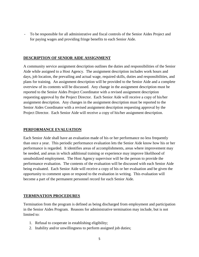- To be responsible for all administrative and fiscal controls of the Senior Aides Project and for paying wages and providing fringe benefits to each Senior Aide.

#### **DESCRIPTION OF SENIOR AIDE ASSIGNMENT**

A community service assignment description outlines the duties and responsibilities of the Senior Aide while assigned to a Host Agency. The assignment description includes work hours and days, job location, the prevailing and actual wage, required skills, duties and responsibilities, and plans for training. An assignment description will be provided to the Senior Aide and a complete overview of its contents will be discussed. Any change in the assignment description must be reported to the Senior Aides Project Coordinator with a revised assignment description requesting approval by the Project Director. Each Senior Aide will receive a copy of his/her assignment description. Any changes in the assignment description must be reported to the Senior Aides Coordinator with a revised assignment description requesting approval by the Project Director. Each Senior Aide will receive a copy of his/her assignment description.

# **PERFORMANCE EVALUATION**

Each Senior Aide shall have an evaluation made of his or her performance no less frequently than once a year. This periodic performance evaluation lets the Senior Aide know how his or her performance is regarded. It identifies areas of accomplishments, areas where improvement may be needed, and areas in which additional training or experience may improve likelihood of unsubsidized employment. The Host Agency supervisor will be the person to provide the performance evaluation. The contents of the evaluation will be discussed with each Senior Aide being evaluated. Each Senior Aide will receive a copy of his or her evaluation and be given the opportunity to comment upon or respond to the evaluation in writing. This evaluation will become a part of the permanent personnel record for each Senior Aide.

# **TERMINATION PROCEDURES**

Termination from the program is defined as being discharged from employment and participation in the Senior Aides Program. Reasons for administrative termination may include, but is not limited to:

- 1. Refusal to cooperate in establishing eligibility;
- 2. Inability and/or unwillingness to perform assigned job duties;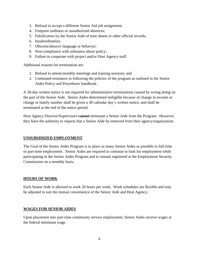- 3. Refusal to accept a different Senior Aid job assignment;
- 4. Frequent tardiness or unauthorized absences;
- 5. Falsification by the Senior Aide of time sheets or other official records;
- 6. Insubordination;
- 7. Obscene/abusive language or behavior;
- 8. Non-compliance with substance abuse policy;
- 9. Failure to cooperate with project and/or Host Agency staff.

Additional reasons for termination are:

- 1. Refusal to attend monthly meetings and training sessions; and
- 2. Continued resistance in following the policies of the program as outlined in the Senior Aides Policy and Procedures handbook.

A 30-day written notice is not required for administrative terminations caused by wrong doing on the part of the Senior Aide. Senior Aides determined ineligible because of change in income or change in family number shall be given a 30 calendar day's written notice, and shall be terminated at the end of the notice period.

Host Agency Director/Supervisors **cannot** terminate a Senior Aide from the Program. However, they have the authority to request that a Senior Aide be removed from their agency/organization.

# **UNSUBSIDIZED EMPLOYMENT**

The Goal of the Senior Aides Program is to place as many Senior Aides as possible in full-time or part-time employment. Senior Aides are required to continue to look for employment while participating in the Senior Aides Program and to remain registered at the Employment Security Commission on a monthly basis.

# **HOURS OF WORK**

Each Senior Aide is allowed to work 20 hours per week. Work schedules are flexible and may be adjusted to suit the mutual convenience of the Senior Aide and Host Agency.

# **WAGES FOR SENIOR AIDES**

Upon placement into part-time community service employment, Senior Aides receive wages at the federal minimum wage.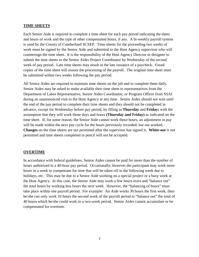#### **TIME SHEETS**

Each Senior Aide is required to complete a time sheet for each pay period indicating the dates and hours of work and the type of other compensated hours, if any. A bi-weekly payroll system is used by the County of Cumberland SCSEP. Time sheets for the proceeding two weeks of work must be signed by the Senior Aide and submitted to the Host Agency supervisor who will countersign the time sheet. It is the responsibility of the Host Agency Director or designee to submit the time sheets to the Senior Aides Project Coordinator by Wednesday of the second week of pay period. Late time sheets may result in the late issuance of a paycheck. Faxed copies of the time sheet will ensure the processing of the payroll. The original time sheet must be submitted within two weeks following the pay period.

All Senior Aides are required to maintain time sheets on the job and to complete them daily. Senior Aides may be asked to make available their time sheet to representatives from the Department of Labor Representative, Senior Aides Coordinator, or Program Officer from SSAI during an unannounced visit to the Host Agency at any time. Senior Aides should not wait until the end of the pay period to complete their time sheets and they should not be completed in advance, except for Wednesday before pay period, by filling in **Thursday** and **Friday;** with the assumption that they will work those days and hours **(Thursday and Friday)** as indicated on the time sheet. If, for some reason, the Senior Aide cannot work those hours, an adjustment in pay will be made within the next pay cycle for the hours previously recorded; but not worked. **Changes** on the time sheets are not permitted after the supervisor has signed it. **White-out** is not permitted and time sheets completed in pencil will not be accepted.

#### **OVERTIME**

In accordance with federal guidelines, Senior Aides cannot be paid for more than the number of hours authorized in a 40-hour pay period. Occasionally, however the participant may work more hours in a week to compensate for time that will be taken off in the following week due to holidays, etc. This may be due to a Senior Aide working on a special project or a busy week at the Host Agency. In this case, the Senior Aide may work a few hours extra and "balance out" the total hours by working less hours the next week. However, the "balancing of hours" must take place within one payroll period. For example: An Aide works 30 hours the first week, then he/she can only work 10 hours the second week of the payroll period to "balance out" the total of 40 hours which he/she could work in a two-week period. Senior Aides cannot accumulate or be compensated for overtime.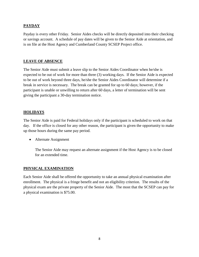# **PAYDAY**

Payday is every other Friday. Senior Aides checks will be directly deposited into their checking or savings account. A schedule of pay dates will be given to the Senior Aide at orientation, and is on file at the Host Agency and Cumberland County SCSEP Project office.

### **LEAVE OF ABSENCE**

The Senior Aide must submit a leave slip to the Senior Aides Coordinator when he/she is expected to be out of work for more than three (3) working days. If the Senior Aide is expected to be out of work beyond three days, he/she the Senior Aides Coordinator will determine if a break in service is necessary. The break can be granted for up to 60 days; however, if the participant is unable or unwilling to return after 60 days, a letter of termination will be sent giving the participant a 30-day termination notice.

# **HOLIDAYS**

The Senior Aide is paid for Federal holidays only if the participant is scheduled to work on that day. If the office is closed for any other reason, the participant is given the opportunity to make up those hours during the same pay period.

• Alternate Assignment

The Senior Aide may request an alternate assignment if the Host Agency is to be closed for an extended time.

#### **PHYSICAL EXAMINATION**

Each Senior Aide shall be offered the opportunity to take an annual physical examination after enrollment. The physical is a fringe benefit and not an eligibility criterion. The results of the physical exam are the private property of the Senior Aide. The most that the SCSEP can pay for a physical examination is \$75.00.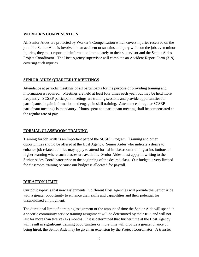### **WORKER'S COMPENSATION**

All Senior Aides are protected by Worker's Compensation which covers injuries received on the job. If a Senior Aide is involved in an accident or sustains an injury while on the job, even minor injuries, they must report this information immediately to their supervisor and the Senior Aides Project Coordinator. The Host Agency supervisor will complete an Accident Report Form (319) covering such injuries.

# **SENIOR AIDES QUARTERLY MEETINGS**

Attendance at periodic meetings of all participants for the purpose of providing training and information is required. Meetings are held at least four times each year, but may be held more frequently. SCSEP participant meetings are training sessions and provide opportunities for participants to gain information and engage in skill training. Attendance at regular SCSEP participant meetings is mandatory. Hours spent at a participant meeting shall be compensated at the regular rate of pay.

# **FORMAL CLASSROOM TRAINING**

Training for job skills is an important part of the SCSEP Program. Training and other opportunities should be offered at the Host Agency. Senior Aides who indicate a desire to enhance job related abilities may apply to attend formal in-classroom training at institutions of higher learning where such classes are available. Senior Aides must apply in writing to the Senior Aides Coordinator prior to the beginning of the desired class. Our budget is very limited for classroom training because our budget is allocated for payroll.

# **DURATION LIMIT**

Our philosophy is that new assignments in different Host Agencies will provide the Senior Aide with a greater opportunity to enhance their skills and capabilities and their potential for unsubsidized employment.

The durational limit of a training assignment or the amount of time the Senior Aide will spend in a specific community service training assignment will be determined by their IEP, and will not last for more than twelve (12) months. If it is determined that further time at the Host Agency will result in **significant t**raining opportunities or more time will provide a greater chance of being hired, the Senior Aide may be given an extension by the Project Coordinator. A transfer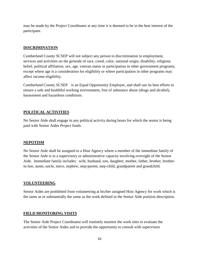may be made by the Project Coordinator at any time it is deemed to be in the best interest of the participant.

#### **DISCRIMINATION**

Cumberland County SCSEP will not subject any person to discrimination in employment, services and activities on the grounds of race, creed, color, national origin, disability, religious belief, political affiliation, sex, age, veteran status or participation in other government programs, except where age is a consideration for eligibility or where participation in other programs may affect income eligibility.

Cumberland County SCSEP is an Equal Opportunity Employer, and shall use its best efforts to ensure a safe and healthful working environment, free of substance abuse (drugs and alcohol), harassment and hazardous conditions.

# **POLITICAL ACTIVITIES**

No Senior Aide shall engage in any political activity during hours for which the senior is being paid with Senior Aides Project funds.

# **NEPOTISM**

No Senior Aide shall be assigned to a Host Agency where a member of the immediate family of the Senior Aide is in a supervisory or administrative capacity involving oversight of the Senior Aide. Immediate family includes: wife, husband, son, daughter, mother, father, brother, brotherin-law, aunts, uncle, niece, nephew, step-parent, step-child, grandparent and grandchild.

# **VOLUNTEERING**

Senior Aides are prohibited from volunteering at his/her assigned Host Agency for work which is the same as or substantially the same as the work defined in the Senior Aide position description.

# **FIELD MONITORING VISITS**

The Senior Aide Project Coordinator will routinely monitor the work sites to evaluate the activities of the Senior Aides and to provide the opportunity to consult with supervisors